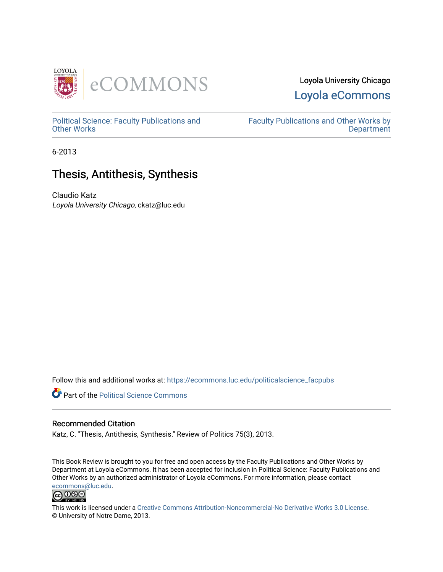

## Loyola University Chicago [Loyola eCommons](https://ecommons.luc.edu/)

[Political Science: Faculty Publications and](https://ecommons.luc.edu/politicalscience_facpubs) [Other Works](https://ecommons.luc.edu/politicalscience_facpubs)

[Faculty Publications and Other Works by](https://ecommons.luc.edu/faculty)  **Department** 

6-2013

# Thesis, Antithesis, Synthesis

Claudio Katz Loyola University Chicago, ckatz@luc.edu

Follow this and additional works at: [https://ecommons.luc.edu/politicalscience\\_facpubs](https://ecommons.luc.edu/politicalscience_facpubs?utm_source=ecommons.luc.edu%2Fpoliticalscience_facpubs%2F29&utm_medium=PDF&utm_campaign=PDFCoverPages) 

**Part of the Political Science Commons** 

## Recommended Citation

Katz, C. "Thesis, Antithesis, Synthesis." Review of Politics 75(3), 2013.

This Book Review is brought to you for free and open access by the Faculty Publications and Other Works by Department at Loyola eCommons. It has been accepted for inclusion in Political Science: Faculty Publications and Other Works by an authorized administrator of Loyola eCommons. For more information, please contact [ecommons@luc.edu](mailto:ecommons@luc.edu).



This work is licensed under a [Creative Commons Attribution-Noncommercial-No Derivative Works 3.0 License.](https://creativecommons.org/licenses/by-nc-nd/3.0/) © University of Notre Dame, 2013.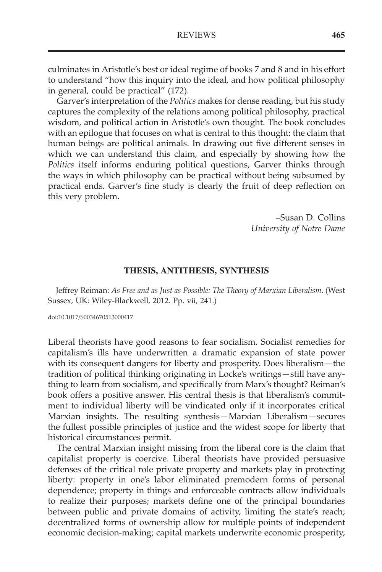culminates in Aristotle's best or ideal regime of books 7 and 8 and in his effort to understand "how this inquiry into the ideal, and how political philosophy in general, could be practical" (172).

Garver's interpretation of the Politics makes for dense reading, but his study captures the complexity of the relations among political philosophy, practical wisdom, and political action in Aristotle's own thought. The book concludes with an epilogue that focuses on what is central to this thought: the claim that human beings are political animals. In drawing out five different senses in which we can understand this claim, and especially by showing how the Politics itself informs enduring political questions, Garver thinks through the ways in which philosophy can be practical without being subsumed by practical ends. Garver's fine study is clearly the fruit of deep reflection on this very problem.

> –Susan D. Collins University of Notre Dame

### THESIS, ANTITHESIS, SYNTHESIS

Jeffrey Reiman: As Free and as Just as Possible: The Theory of Marxian Liberalism. (West Sussex, UK: Wiley-Blackwell, 2012. Pp. vii, 241.)

doi:10.1017/S0034670513000417

Liberal theorists have good reasons to fear socialism. Socialist remedies for capitalism's ills have underwritten a dramatic expansion of state power with its consequent dangers for liberty and prosperity. Does liberalism—the tradition of political thinking originating in Locke's writings—still have anything to learn from socialism, and specifically from Marx's thought? Reiman's book offers a positive answer. His central thesis is that liberalism's commitment to individual liberty will be vindicated only if it incorporates critical Marxian insights. The resulting synthesis—Marxian Liberalism—secures the fullest possible principles of justice and the widest scope for liberty that historical circumstances permit.

The central Marxian insight missing from the liberal core is the claim that capitalist property is coercive. Liberal theorists have provided persuasive defenses of the critical role private property and markets play in protecting liberty: property in one's labor eliminated premodern forms of personal dependence; property in things and enforceable contracts allow individuals to realize their purposes; markets define one of the principal boundaries between public and private domains of activity, limiting the state's reach; decentralized forms of ownership allow for multiple points of independent economic decision-making; capital markets underwrite economic prosperity,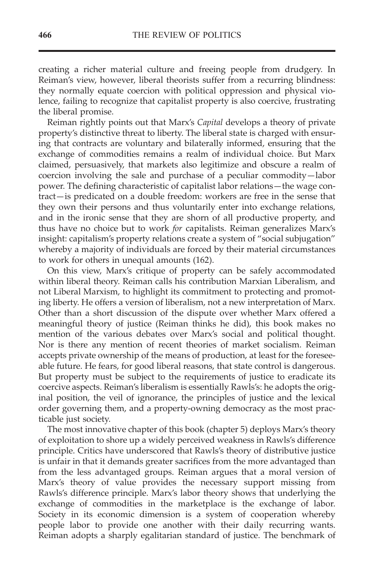creating a richer material culture and freeing people from drudgery. In Reiman's view, however, liberal theorists suffer from a recurring blindness: they normally equate coercion with political oppression and physical violence, failing to recognize that capitalist property is also coercive, frustrating the liberal promise.

Reiman rightly points out that Marx's Capital develops a theory of private property's distinctive threat to liberty. The liberal state is charged with ensuring that contracts are voluntary and bilaterally informed, ensuring that the exchange of commodities remains a realm of individual choice. But Marx claimed, persuasively, that markets also legitimize and obscure a realm of coercion involving the sale and purchase of a peculiar commodity—labor power. The defining characteristic of capitalist labor relations—the wage contract—is predicated on a double freedom: workers are free in the sense that they own their persons and thus voluntarily enter into exchange relations, and in the ironic sense that they are shorn of all productive property, and thus have no choice but to work for capitalists. Reiman generalizes Marx's insight: capitalism's property relations create a system of "social subjugation" whereby a majority of individuals are forced by their material circumstances to work for others in unequal amounts (162).

On this view, Marx's critique of property can be safely accommodated within liberal theory. Reiman calls his contribution Marxian Liberalism, and not Liberal Marxism, to highlight its commitment to protecting and promoting liberty. He offers a version of liberalism, not a new interpretation of Marx. Other than a short discussion of the dispute over whether Marx offered a meaningful theory of justice (Reiman thinks he did), this book makes no mention of the various debates over Marx's social and political thought. Nor is there any mention of recent theories of market socialism. Reiman accepts private ownership of the means of production, at least for the foreseeable future. He fears, for good liberal reasons, that state control is dangerous. But property must be subject to the requirements of justice to eradicate its coercive aspects. Reiman's liberalism is essentially Rawls's: he adopts the original position, the veil of ignorance, the principles of justice and the lexical order governing them, and a property-owning democracy as the most practicable just society.

The most innovative chapter of this book (chapter 5) deploys Marx's theory of exploitation to shore up a widely perceived weakness in Rawls's difference principle. Critics have underscored that Rawls's theory of distributive justice is unfair in that it demands greater sacrifices from the more advantaged than from the less advantaged groups. Reiman argues that a moral version of Marx's theory of value provides the necessary support missing from Rawls's difference principle. Marx's labor theory shows that underlying the exchange of commodities in the marketplace is the exchange of labor. Society in its economic dimension is a system of cooperation whereby people labor to provide one another with their daily recurring wants. Reiman adopts a sharply egalitarian standard of justice. The benchmark of